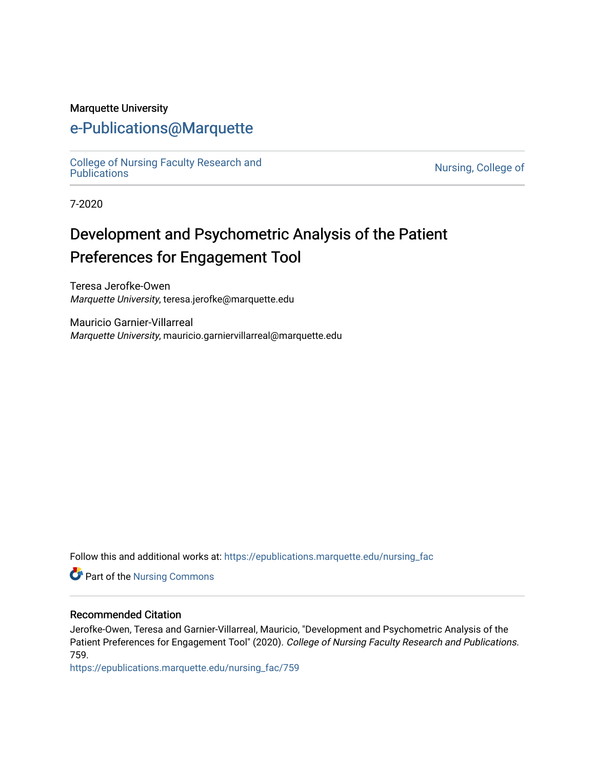#### Marquette University

# [e-Publications@Marquette](https://epublications.marquette.edu/)

[College of Nursing Faculty Research and](https://epublications.marquette.edu/nursing_fac)<br>Publications

Nursing, College of

7-2020

# Development and Psychometric Analysis of the Patient Preferences for Engagement Tool

Teresa Jerofke-Owen Marquette University, teresa.jerofke@marquette.edu

Mauricio Garnier-Villarreal Marquette University, mauricio.garniervillarreal@marquette.edu

Follow this and additional works at: [https://epublications.marquette.edu/nursing\\_fac](https://epublications.marquette.edu/nursing_fac?utm_source=epublications.marquette.edu%2Fnursing_fac%2F759&utm_medium=PDF&utm_campaign=PDFCoverPages)

**Part of the Nursing Commons** 

#### Recommended Citation

Jerofke-Owen, Teresa and Garnier-Villarreal, Mauricio, "Development and Psychometric Analysis of the Patient Preferences for Engagement Tool" (2020). College of Nursing Faculty Research and Publications. 759.

[https://epublications.marquette.edu/nursing\\_fac/759](https://epublications.marquette.edu/nursing_fac/759?utm_source=epublications.marquette.edu%2Fnursing_fac%2F759&utm_medium=PDF&utm_campaign=PDFCoverPages)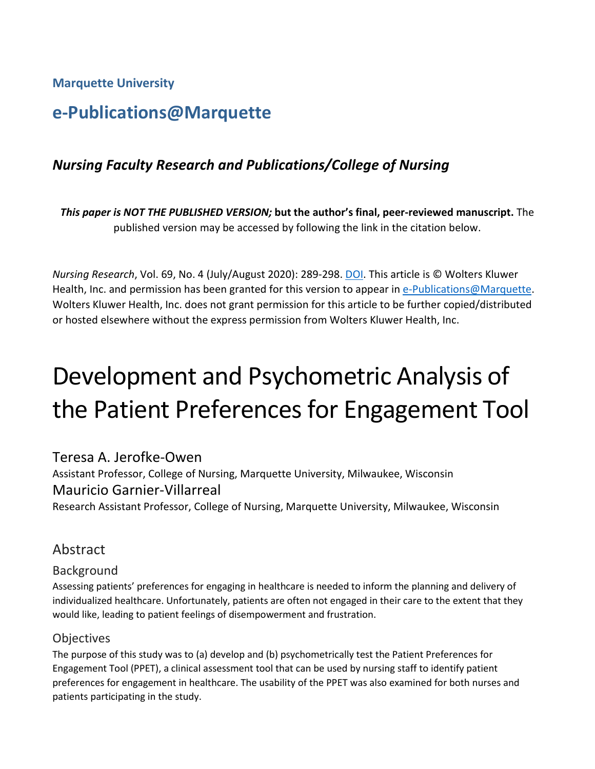**Marquette University**

# **e-Publications@Marquette**

# *Nursing Faculty Research and Publications/College of Nursing*

*This paper is NOT THE PUBLISHED VERSION;* **but the author's final, peer-reviewed manuscript.** The published version may be accessed by following the link in the citation below.

*Nursing Research*, Vol. 69, No. 4 (July/August 2020): 289-298. [DOI.](https://doi.org/10.1097/NNR.0000000000000423) This article is © Wolters Kluwer Health, Inc. and permission has been granted for this version to appear i[n e-Publications@Marquette.](http://epublications.marquette.edu/) Wolters Kluwer Health, Inc. does not grant permission for this article to be further copied/distributed or hosted elsewhere without the express permission from Wolters Kluwer Health, Inc.

# Development and Psychometric Analysis of the Patient Preferences for Engagement Tool

Teresa A. Jerofke-Owen

Assistant Professor, College of Nursing, Marquette University, Milwaukee, Wisconsin Mauricio Garnier-Villarreal Research Assistant Professor, College of Nursing, Marquette University, Milwaukee, Wisconsin

# Abstract

#### Background

Assessing patients' preferences for engaging in healthcare is needed to inform the planning and delivery of individualized healthcare. Unfortunately, patients are often not engaged in their care to the extent that they would like, leading to patient feelings of disempowerment and frustration.

#### **Objectives**

The purpose of this study was to (a) develop and (b) psychometrically test the Patient Preferences for Engagement Tool (PPET), a clinical assessment tool that can be used by nursing staff to identify patient preferences for engagement in healthcare. The usability of the PPET was also examined for both nurses and patients participating in the study.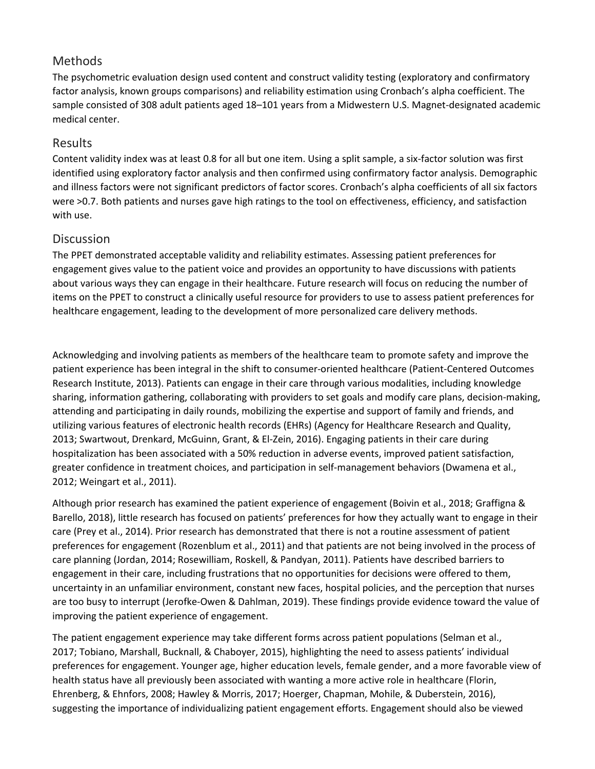## Methods

The psychometric evaluation design used content and construct validity testing (exploratory and confirmatory factor analysis, known groups comparisons) and reliability estimation using Cronbach's alpha coefficient. The sample consisted of 308 adult patients aged 18–101 years from a Midwestern U.S. Magnet-designated academic medical center.

## Results

Content validity index was at least 0.8 for all but one item. Using a split sample, a six-factor solution was first identified using exploratory factor analysis and then confirmed using confirmatory factor analysis. Demographic and illness factors were not significant predictors of factor scores. Cronbach's alpha coefficients of all six factors were >0.7. Both patients and nurses gave high ratings to the tool on effectiveness, efficiency, and satisfaction with use.

#### Discussion

The PPET demonstrated acceptable validity and reliability estimates. Assessing patient preferences for engagement gives value to the patient voice and provides an opportunity to have discussions with patients about various ways they can engage in their healthcare. Future research will focus on reducing the number of items on the PPET to construct a clinically useful resource for providers to use to assess patient preferences for healthcare engagement, leading to the development of more personalized care delivery methods.

Acknowledging and involving patients as members of the healthcare team to promote safety and improve the patient experience has been integral in the shift to consumer-oriented healthcare (Patient-Centered Outcomes Research Institute, 2013). Patients can engage in their care through various modalities, including knowledge sharing, information gathering, collaborating with providers to set goals and modify care plans, decision-making, attending and participating in daily rounds, mobilizing the expertise and support of family and friends, and utilizing various features of electronic health records (EHRs) (Agency for Healthcare Research and Quality, 2013; Swartwout, Drenkard, McGuinn, Grant, & El-Zein, 2016). Engaging patients in their care during hospitalization has been associated with a 50% reduction in adverse events, improved patient satisfaction, greater confidence in treatment choices, and participation in self-management behaviors (Dwamena et al., 2012; Weingart et al., 2011).

Although prior research has examined the patient experience of engagement (Boivin et al., 2018; Graffigna & Barello, 2018), little research has focused on patients' preferences for how they actually want to engage in their care (Prey et al., 2014). Prior research has demonstrated that there is not a routine assessment of patient preferences for engagement (Rozenblum et al., 2011) and that patients are not being involved in the process of care planning (Jordan, 2014; Rosewilliam, Roskell, & Pandyan, 2011). Patients have described barriers to engagement in their care, including frustrations that no opportunities for decisions were offered to them, uncertainty in an unfamiliar environment, constant new faces, hospital policies, and the perception that nurses are too busy to interrupt (Jerofke-Owen & Dahlman, 2019). These findings provide evidence toward the value of improving the patient experience of engagement.

The patient engagement experience may take different forms across patient populations (Selman et al., 2017; Tobiano, Marshall, Bucknall, & Chaboyer, 2015), highlighting the need to assess patients' individual preferences for engagement. Younger age, higher education levels, female gender, and a more favorable view of health status have all previously been associated with wanting a more active role in healthcare (Florin, Ehrenberg, & Ehnfors, 2008; Hawley & Morris, 2017; Hoerger, Chapman, Mohile, & Duberstein, 2016), suggesting the importance of individualizing patient engagement efforts. Engagement should also be viewed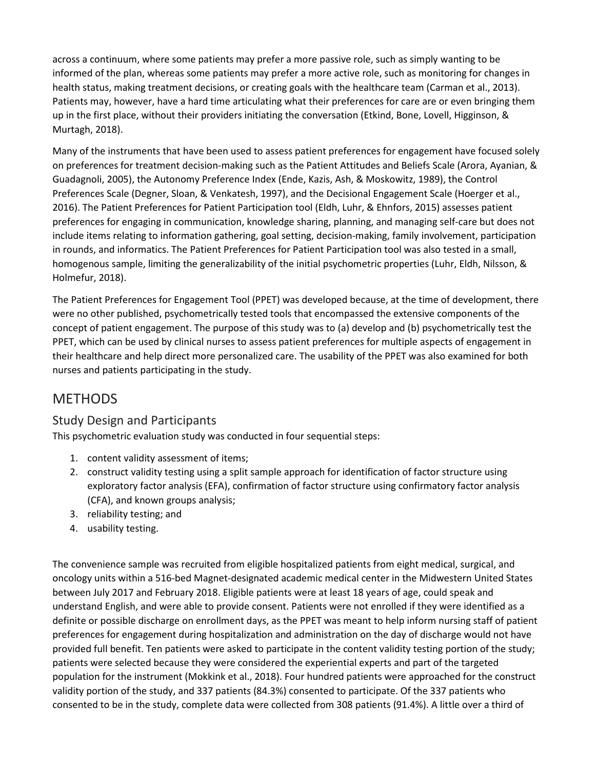across a continuum, where some patients may prefer a more passive role, such as simply wanting to be informed of the plan, whereas some patients may prefer a more active role, such as monitoring for changes in health status, making treatment decisions, or creating goals with the healthcare team (Carman et al., 2013). Patients may, however, have a hard time articulating what their preferences for care are or even bringing them up in the first place, without their providers initiating the conversation (Etkind, Bone, Lovell, Higginson, & Murtagh, 2018).

Many of the instruments that have been used to assess patient preferences for engagement have focused solely on preferences for treatment decision-making such as the Patient Attitudes and Beliefs Scale (Arora, Ayanian, & Guadagnoli, 2005), the Autonomy Preference Index (Ende, Kazis, Ash, & Moskowitz, 1989), the Control Preferences Scale (Degner, Sloan, & Venkatesh, 1997), and the Decisional Engagement Scale (Hoerger et al., 2016). The Patient Preferences for Patient Participation tool (Eldh, Luhr, & Ehnfors, 2015) assesses patient preferences for engaging in communication, knowledge sharing, planning, and managing self-care but does not include items relating to information gathering, goal setting, decision-making, family involvement, participation in rounds, and informatics. The Patient Preferences for Patient Participation tool was also tested in a small, homogenous sample, limiting the generalizability of the initial psychometric properties (Luhr, Eldh, Nilsson, & Holmefur, 2018).

The Patient Preferences for Engagement Tool (PPET) was developed because, at the time of development, there were no other published, psychometrically tested tools that encompassed the extensive components of the concept of patient engagement. The purpose of this study was to (a) develop and (b) psychometrically test the PPET, which can be used by clinical nurses to assess patient preferences for multiple aspects of engagement in their healthcare and help direct more personalized care. The usability of the PPET was also examined for both nurses and patients participating in the study.

# **METHODS**

# Study Design and Participants

This psychometric evaluation study was conducted in four sequential steps:

- 1. content validity assessment of items;
- 2. construct validity testing using a split sample approach for identification of factor structure using exploratory factor analysis (EFA), confirmation of factor structure using confirmatory factor analysis (CFA), and known groups analysis;
- 3. reliability testing; and
- 4. usability testing.

The convenience sample was recruited from eligible hospitalized patients from eight medical, surgical, and oncology units within a 516-bed Magnet-designated academic medical center in the Midwestern United States between July 2017 and February 2018. Eligible patients were at least 18 years of age, could speak and understand English, and were able to provide consent. Patients were not enrolled if they were identified as a definite or possible discharge on enrollment days, as the PPET was meant to help inform nursing staff of patient preferences for engagement during hospitalization and administration on the day of discharge would not have provided full benefit. Ten patients were asked to participate in the content validity testing portion of the study; patients were selected because they were considered the experiential experts and part of the targeted population for the instrument (Mokkink et al., 2018). Four hundred patients were approached for the construct validity portion of the study, and 337 patients (84.3%) consented to participate. Of the 337 patients who consented to be in the study, complete data were collected from 308 patients (91.4%). A little over a third of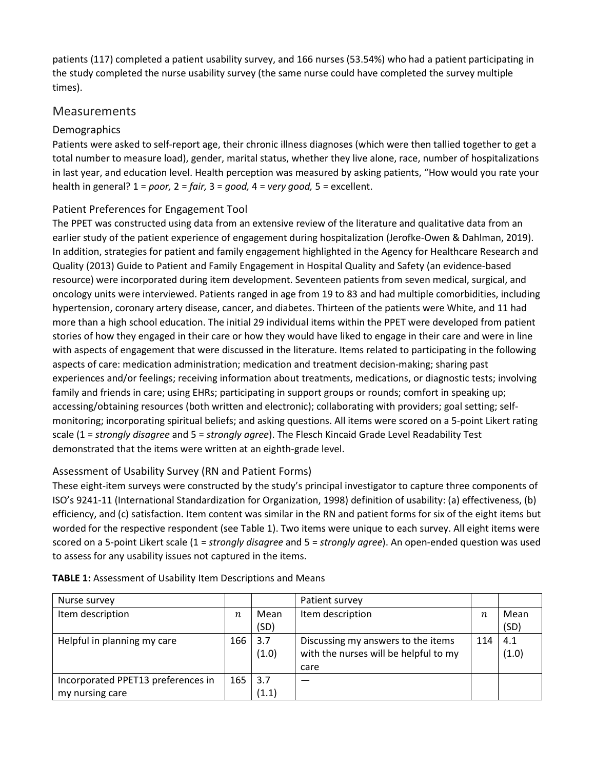patients (117) completed a patient usability survey, and 166 nurses (53.54%) who had a patient participating in the study completed the nurse usability survey (the same nurse could have completed the survey multiple times).

#### Measurements

#### Demographics

Patients were asked to self-report age, their chronic illness diagnoses (which were then tallied together to get a total number to measure load), gender, marital status, whether they live alone, race, number of hospitalizations in last year, and education level. Health perception was measured by asking patients, "How would you rate your health in general? 1 = *poor,* 2 = *fair,* 3 = *good,* 4 = *very good,* 5 = excellent.

#### Patient Preferences for Engagement Tool

The PPET was constructed using data from an extensive review of the literature and qualitative data from an earlier study of the patient experience of engagement during hospitalization (Jerofke-Owen & Dahlman, 2019). In addition, strategies for patient and family engagement highlighted in the Agency for Healthcare Research and Quality (2013) Guide to Patient and Family Engagement in Hospital Quality and Safety (an evidence-based resource) were incorporated during item development. Seventeen patients from seven medical, surgical, and oncology units were interviewed. Patients ranged in age from 19 to 83 and had multiple comorbidities, including hypertension, coronary artery disease, cancer, and diabetes. Thirteen of the patients were White, and 11 had more than a high school education. The initial 29 individual items within the PPET were developed from patient stories of how they engaged in their care or how they would have liked to engage in their care and were in line with aspects of engagement that were discussed in the literature. Items related to participating in the following aspects of care: medication administration; medication and treatment decision-making; sharing past experiences and/or feelings; receiving information about treatments, medications, or diagnostic tests; involving family and friends in care; using EHRs; participating in support groups or rounds; comfort in speaking up; accessing/obtaining resources (both written and electronic); collaborating with providers; goal setting; selfmonitoring; incorporating spiritual beliefs; and asking questions. All items were scored on a 5-point Likert rating scale (1 = *strongly disagree* and 5 = *strongly agree*). The Flesch Kincaid Grade Level Readability Test demonstrated that the items were written at an eighth-grade level.

#### Assessment of Usability Survey (RN and Patient Forms)

These eight-item surveys were constructed by the study's principal investigator to capture three components of ISO's 9241-11 (International Standardization for Organization, 1998) definition of usability: (a) effectiveness, (b) efficiency, and (c) satisfaction. Item content was similar in the RN and patient forms for six of the eight items but worded for the respective respondent (see Table 1). Two items were unique to each survey. All eight items were scored on a 5-point Likert scale (1 = *strongly disagree* and 5 = *strongly agree*). An open-ended question was used to assess for any usability issues not captured in the items.

| Nurse survey                                          |                  |              | Patient survey                                                                      |                  |              |
|-------------------------------------------------------|------------------|--------------|-------------------------------------------------------------------------------------|------------------|--------------|
| Item description                                      | $\boldsymbol{n}$ | Mean         | Item description                                                                    | $\boldsymbol{n}$ | Mean         |
|                                                       |                  | (SD)         |                                                                                     |                  | (SD)         |
| Helpful in planning my care                           | 166              | 3.7<br>(1.0) | Discussing my answers to the items<br>with the nurses will be helpful to my<br>care | 114              | 4.1<br>(1.0) |
| Incorporated PPET13 preferences in<br>my nursing care | 165              | 3.7<br>(1.1) |                                                                                     |                  |              |

**TABLE 1:** Assessment of Usability Item Descriptions and Means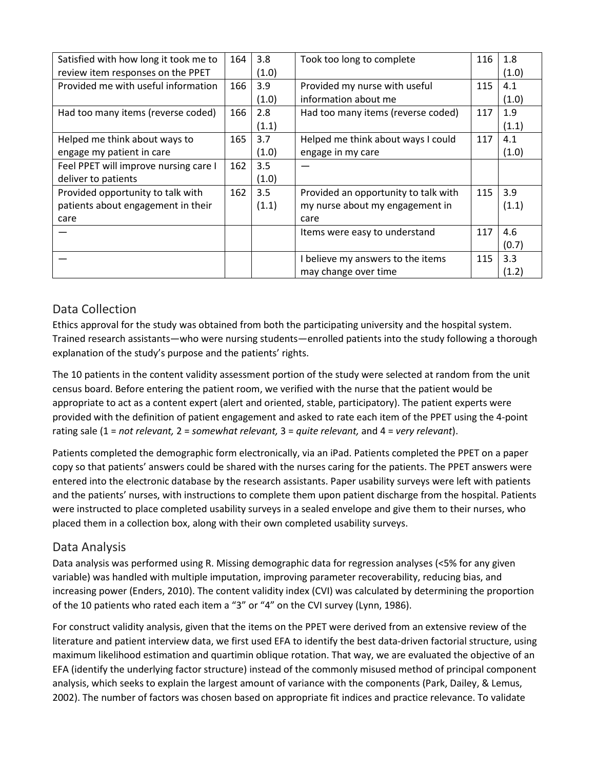| Satisfied with how long it took me to | 164 | 3.8   | Took too long to complete            | 116 | 1.8   |
|---------------------------------------|-----|-------|--------------------------------------|-----|-------|
| review item responses on the PPET     |     | (1.0) |                                      |     | (1.0) |
| Provided me with useful information   | 166 | 3.9   | Provided my nurse with useful        | 115 | 4.1   |
|                                       |     | (1.0) | information about me                 |     | (1.0) |
| Had too many items (reverse coded)    | 166 | 2.8   | Had too many items (reverse coded)   | 117 | 1.9   |
|                                       |     | (1.1) |                                      |     | (1.1) |
| Helped me think about ways to         | 165 | 3.7   | Helped me think about ways I could   | 117 | 4.1   |
| engage my patient in care             |     | (1.0) | engage in my care                    |     | (1.0) |
| Feel PPET will improve nursing care I | 162 | 3.5   |                                      |     |       |
| deliver to patients                   |     | (1.0) |                                      |     |       |
| Provided opportunity to talk with     | 162 | 3.5   | Provided an opportunity to talk with | 115 | 3.9   |
| patients about engagement in their    |     | (1.1) | my nurse about my engagement in      |     | (1.1) |
| care                                  |     |       | care                                 |     |       |
|                                       |     |       | Items were easy to understand        | 117 | 4.6   |
|                                       |     |       |                                      |     | (0.7) |
|                                       |     |       | believe my answers to the items      | 115 | 3.3   |
|                                       |     |       | may change over time                 |     | (1.2) |

# Data Collection

Ethics approval for the study was obtained from both the participating university and the hospital system. Trained research assistants—who were nursing students—enrolled patients into the study following a thorough explanation of the study's purpose and the patients' rights.

The 10 patients in the content validity assessment portion of the study were selected at random from the unit census board. Before entering the patient room, we verified with the nurse that the patient would be appropriate to act as a content expert (alert and oriented, stable, participatory). The patient experts were provided with the definition of patient engagement and asked to rate each item of the PPET using the 4-point rating sale (1 = *not relevant,* 2 = *somewhat relevant,* 3 = *quite relevant,* and 4 = *very relevant*).

Patients completed the demographic form electronically, via an iPad. Patients completed the PPET on a paper copy so that patients' answers could be shared with the nurses caring for the patients. The PPET answers were entered into the electronic database by the research assistants. Paper usability surveys were left with patients and the patients' nurses, with instructions to complete them upon patient discharge from the hospital. Patients were instructed to place completed usability surveys in a sealed envelope and give them to their nurses, who placed them in a collection box, along with their own completed usability surveys.

# Data Analysis

Data analysis was performed using R. Missing demographic data for regression analyses (<5% for any given variable) was handled with multiple imputation, improving parameter recoverability, reducing bias, and increasing power (Enders, 2010). The content validity index (CVI) was calculated by determining the proportion of the 10 patients who rated each item a "3" or "4" on the CVI survey (Lynn, 1986).

For construct validity analysis, given that the items on the PPET were derived from an extensive review of the literature and patient interview data, we first used EFA to identify the best data-driven factorial structure, using maximum likelihood estimation and quartimin oblique rotation. That way, we are evaluated the objective of an EFA (identify the underlying factor structure) instead of the commonly misused method of principal component analysis, which seeks to explain the largest amount of variance with the components (Park, Dailey, & Lemus, 2002). The number of factors was chosen based on appropriate fit indices and practice relevance. To validate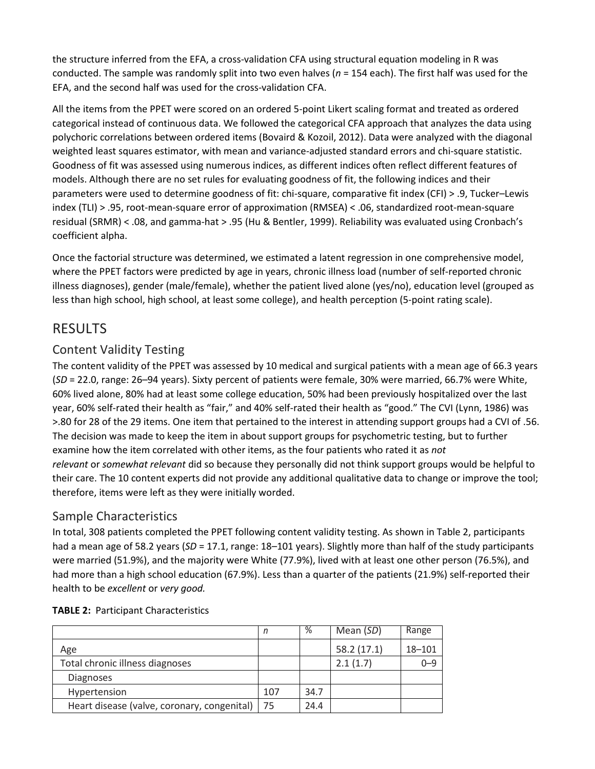the structure inferred from the EFA, a cross-validation CFA using structural equation modeling in R was conducted. The sample was randomly split into two even halves (*n* = 154 each). The first half was used for the EFA, and the second half was used for the cross-validation CFA.

All the items from the PPET were scored on an ordered 5-point Likert scaling format and treated as ordered categorical instead of continuous data. We followed the categorical CFA approach that analyzes the data using polychoric correlations between ordered items (Bovaird & Kozoil, 2012). Data were analyzed with the diagonal weighted least squares estimator, with mean and variance-adjusted standard errors and chi-square statistic. Goodness of fit was assessed using numerous indices, as different indices often reflect different features of models. Although there are no set rules for evaluating goodness of fit, the following indices and their parameters were used to determine goodness of fit: chi-square, comparative fit index (CFI) > .9, Tucker–Lewis index (TLI) > .95, root-mean-square error of approximation (RMSEA) < .06, standardized root-mean-square residual (SRMR) < .08, and gamma-hat > .95 (Hu & Bentler, 1999). Reliability was evaluated using Cronbach's coefficient alpha.

Once the factorial structure was determined, we estimated a latent regression in one comprehensive model, where the PPET factors were predicted by age in years, chronic illness load (number of self-reported chronic illness diagnoses), gender (male/female), whether the patient lived alone (yes/no), education level (grouped as less than high school, high school, at least some college), and health perception (5-point rating scale).

# RESULTS

#### Content Validity Testing

The content validity of the PPET was assessed by 10 medical and surgical patients with a mean age of 66.3 years (*SD* = 22.0, range: 26–94 years). Sixty percent of patients were female, 30% were married, 66.7% were White, 60% lived alone, 80% had at least some college education, 50% had been previously hospitalized over the last year, 60% self-rated their health as "fair," and 40% self-rated their health as "good." The CVI (Lynn, 1986) was >.80 for 28 of the 29 items. One item that pertained to the interest in attending support groups had a CVI of .56. The decision was made to keep the item in about support groups for psychometric testing, but to further examine how the item correlated with other items, as the four patients who rated it as *not relevant* or *somewhat relevant* did so because they personally did not think support groups would be helpful to their care. The 10 content experts did not provide any additional qualitative data to change or improve the tool; therefore, items were left as they were initially worded.

#### Sample Characteristics

In total, 308 patients completed the PPET following content validity testing. As shown in Table 2, participants had a mean age of 58.2 years (*SD* = 17.1, range: 18–101 years). Slightly more than half of the study participants were married (51.9%), and the majority were White (77.9%), lived with at least one other person (76.5%), and had more than a high school education (67.9%). Less than a quarter of the patients (21.9%) self-reported their health to be *excellent* or *very good.*

|                                                  |     | %    | Mean (SD)   | Range      |
|--------------------------------------------------|-----|------|-------------|------------|
| Age                                              |     |      | 58.2 (17.1) | $18 - 101$ |
| Total chronic illness diagnoses                  |     |      | 2.1(1.7)    | $0 - 9$    |
| <b>Diagnoses</b>                                 |     |      |             |            |
| Hypertension                                     | 107 | 34.7 |             |            |
| Heart disease (valve, coronary, congenital)   75 |     | 24.4 |             |            |

#### **TABLE 2:** Participant Characteristics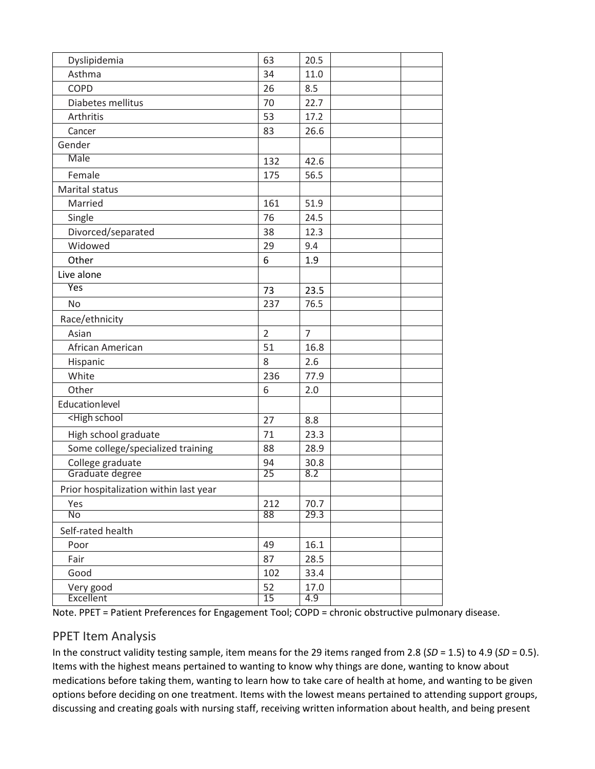| Dyslipidemia                                                   | 63             | 20.5           |  |
|----------------------------------------------------------------|----------------|----------------|--|
| Asthma                                                         | 34             | 11.0           |  |
| <b>COPD</b>                                                    | 26             | 8.5            |  |
| Diabetes mellitus                                              | 70             | 22.7           |  |
| Arthritis                                                      | 53             | 17.2           |  |
| Cancer                                                         | 83             | 26.6           |  |
| Gender                                                         |                |                |  |
| Male                                                           | 132            | 42.6           |  |
| Female                                                         | 175            | 56.5           |  |
| Marital status                                                 |                |                |  |
| Married                                                        | 161            | 51.9           |  |
| Single                                                         | 76             | 24.5           |  |
| Divorced/separated                                             | 38             | 12.3           |  |
| Widowed                                                        | 29             | 9.4            |  |
| Other                                                          | 6              | 1.9            |  |
| Live alone                                                     |                |                |  |
| Yes                                                            | 73             | 23.5           |  |
| No                                                             | 237            | 76.5           |  |
| Race/ethnicity                                                 |                |                |  |
| Asian                                                          | $\overline{2}$ | $\overline{7}$ |  |
| African American                                               | 51             | 16.8           |  |
| Hispanic                                                       | 8              | 2.6            |  |
| White                                                          | 236            | 77.9           |  |
| Other                                                          | 6              | 2.0            |  |
| <b>Education level</b>                                         |                |                |  |
| <high school<="" td=""><td>27</td><td>8.8</td><td></td></high> | 27             | 8.8            |  |
| High school graduate                                           | 71             | 23.3           |  |
| Some college/specialized training                              | 88             | 28.9           |  |
| College graduate                                               | 94             | 30.8           |  |
| Graduate degree                                                | 25             | 8.2            |  |
| Prior hospitalization within last year                         |                |                |  |
| Yes                                                            | 212            | 70.7           |  |
| No                                                             | 88             | 29.3           |  |
| Self-rated health                                              |                |                |  |
| Poor                                                           | 49             | 16.1           |  |
| Fair                                                           | 87             | 28.5           |  |
| Good                                                           | 102            | 33.4           |  |
| Very good                                                      | 52             | 17.0           |  |
| Excellent                                                      | 15             | 4.9            |  |

Note. PPET = Patient Preferences for Engagement Tool; COPD = chronic obstructive pulmonary disease.

# PPET Item Analysis

In the construct validity testing sample, item means for the 29 items ranged from 2.8 (*SD* = 1.5) to 4.9 (*SD* = 0.5). Items with the highest means pertained to wanting to know why things are done, wanting to know about medications before taking them, wanting to learn how to take care of health at home, and wanting to be given options before deciding on one treatment. Items with the lowest means pertained to attending support groups, discussing and creating goals with nursing staff, receiving written information about health, and being present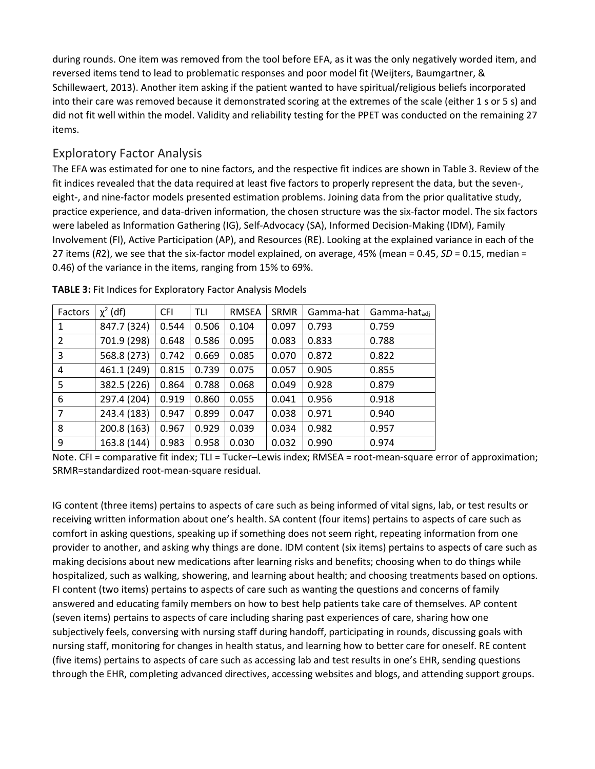during rounds. One item was removed from the tool before EFA, as it was the only negatively worded item, and reversed items tend to lead to problematic responses and poor model fit (Weijters, Baumgartner, & Schillewaert, 2013). Another item asking if the patient wanted to have spiritual/religious beliefs incorporated into their care was removed because it demonstrated scoring at the extremes of the scale (either 1 s or 5 s) and did not fit well within the model. Validity and reliability testing for the PPET was conducted on the remaining 27 items.

## Exploratory Factor Analysis

The EFA was estimated for one to nine factors, and the respective fit indices are shown in Table 3. Review of the fit indices revealed that the data required at least five factors to properly represent the data, but the seven-, eight-, and nine-factor models presented estimation problems. Joining data from the prior qualitative study, practice experience, and data-driven information, the chosen structure was the six-factor model. The six factors were labeled as Information Gathering (IG), Self-Advocacy (SA), Informed Decision-Making (IDM), Family Involvement (FI), Active Participation (AP), and Resources (RE). Looking at the explained variance in each of the 27 items (*R*2), we see that the six-factor model explained, on average, 45% (mean = 0.45, *SD* = 0.15, median = 0.46) of the variance in the items, ranging from 15% to 69%.

| Factors | $\chi^2$ (df) | <b>CFI</b> | TLI   | <b>RMSEA</b> | SRMR  | Gamma-hat | Gamma-hat <sub>adi</sub> |
|---------|---------------|------------|-------|--------------|-------|-----------|--------------------------|
| 1       | 847.7 (324)   | 0.544      | 0.506 | 0.104        | 0.097 | 0.793     | 0.759                    |
| 2       | 701.9 (298)   | 0.648      | 0.586 | 0.095        | 0.083 | 0.833     | 0.788                    |
| 3       | 568.8 (273)   | 0.742      | 0.669 | 0.085        | 0.070 | 0.872     | 0.822                    |
| 4       | 461.1 (249)   | 0.815      | 0.739 | 0.075        | 0.057 | 0.905     | 0.855                    |
| 5       | 382.5 (226)   | 0.864      | 0.788 | 0.068        | 0.049 | 0.928     | 0.879                    |
| 6       | 297.4 (204)   | 0.919      | 0.860 | 0.055        | 0.041 | 0.956     | 0.918                    |
| 7       | 243.4 (183)   | 0.947      | 0.899 | 0.047        | 0.038 | 0.971     | 0.940                    |
| 8       | 200.8 (163)   | 0.967      | 0.929 | 0.039        | 0.034 | 0.982     | 0.957                    |
| 9       | 163.8 (144)   | 0.983      | 0.958 | 0.030        | 0.032 | 0.990     | 0.974                    |

**TABLE 3:** Fit Indices for Exploratory Factor Analysis Models

Note. CFI = comparative fit index; TLI = Tucker–Lewis index; RMSEA = root-mean-square error of approximation; SRMR=standardized root-mean-square residual.

IG content (three items) pertains to aspects of care such as being informed of vital signs, lab, or test results or receiving written information about one's health. SA content (four items) pertains to aspects of care such as comfort in asking questions, speaking up if something does not seem right, repeating information from one provider to another, and asking why things are done. IDM content (six items) pertains to aspects of care such as making decisions about new medications after learning risks and benefits; choosing when to do things while hospitalized, such as walking, showering, and learning about health; and choosing treatments based on options. FI content (two items) pertains to aspects of care such as wanting the questions and concerns of family answered and educating family members on how to best help patients take care of themselves. AP content (seven items) pertains to aspects of care including sharing past experiences of care, sharing how one subjectively feels, conversing with nursing staff during handoff, participating in rounds, discussing goals with nursing staff, monitoring for changes in health status, and learning how to better care for oneself. RE content (five items) pertains to aspects of care such as accessing lab and test results in one's EHR, sending questions through the EHR, completing advanced directives, accessing websites and blogs, and attending support groups.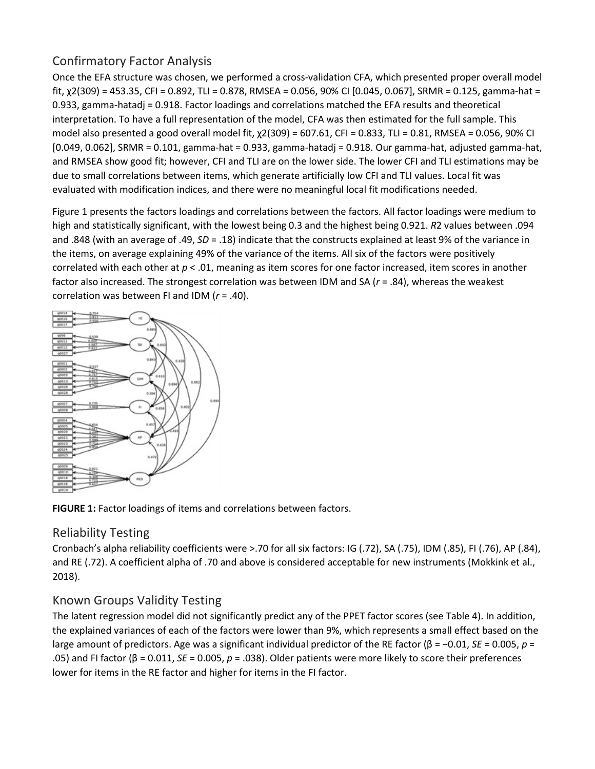# Confirmatory Factor Analysis

Once the EFA structure was chosen, we performed a cross-validation CFA, which presented proper overall model fit, x2(309) = 453.35, CFI = 0.892, TLI = 0.878, RMSEA = 0.056, 90% CI [0.045, 0.067], SRMR = 0.125, gamma-hat = 0.933, gamma-hatadj = 0.918. Factor loadings and correlations matched the EFA results and theoretical interpretation. To have a full representation of the model, CFA was then estimated for the full sample. This model also presented a good overall model fit, χ2(309) = 607.61, CFI = 0.833, TLI = 0.81, RMSEA = 0.056, 90% CI [0.049, 0.062], SRMR = 0.101, gamma-hat = 0.933, gamma-hatadj = 0.918. Our gamma-hat, adjusted gamma-hat, and RMSEA show good fit; however, CFI and TLI are on the lower side. The lower CFI and TLI estimations may be due to small correlations between items, which generate artificially low CFI and TLI values. Local fit was evaluated with modification indices, and there were no meaningful local fit modifications needed.

Figure 1 presents the factors loadings and correlations between the factors. All factor loadings were medium to high and statistically significant, with the lowest being 0.3 and the highest being 0.921. *R*2 values between .094 and .848 (with an average of .49, *SD* = .18) indicate that the constructs explained at least 9% of the variance in the items, on average explaining 49% of the variance of the items. All six of the factors were positively correlated with each other at *p* < .01, meaning as item scores for one factor increased, item scores in another factor also increased. The strongest correlation was between IDM and SA (*r* = .84), whereas the weakest correlation was between FI and IDM (*r* = .40).





# Reliability Testing

Cronbach's alpha reliability coefficients were >.70 for all six factors: IG (.72), SA (.75), IDM (.85), FI (.76), AP (.84), and RE (.72). A coefficient alpha of .70 and above is considered acceptable for new instruments (Mokkink et al., 2018).

# Known Groups Validity Testing

The latent regression model did not significantly predict any of the PPET factor scores (see Table 4). In addition, the explained variances of each of the factors were lower than 9%, which represents a small effect based on the large amount of predictors. Age was a significant individual predictor of the RE factor (β = −0.01, *SE* = 0.005, *p* = .05) and FI factor (β = 0.011, *SE* = 0.005, *p* = .038). Older patients were more likely to score their preferences lower for items in the RE factor and higher for items in the FI factor.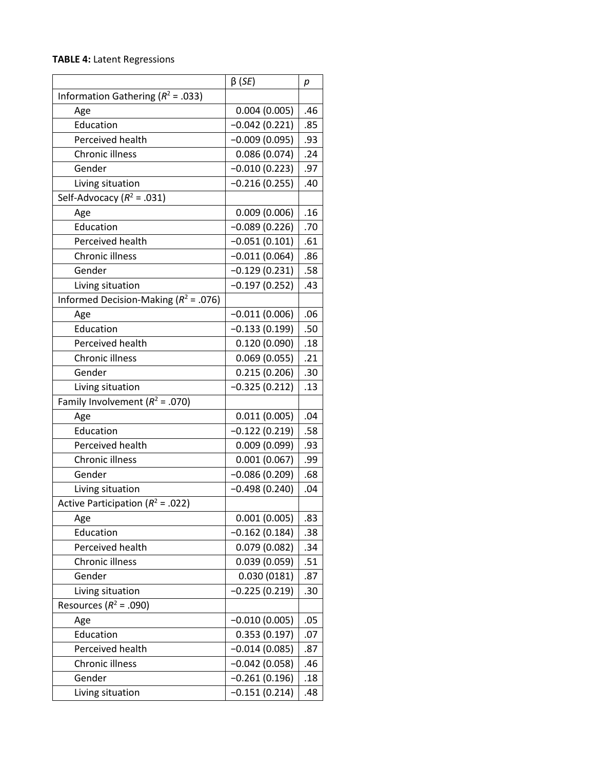#### **TABLE 4:** Latent Regressions

|                                          | $\beta$ (SE)    | р   |
|------------------------------------------|-----------------|-----|
| Information Gathering ( $R^2$ = .033)    |                 |     |
| Age                                      | 0.004(0.005)    | .46 |
| Education                                | $-0.042(0.221)$ | .85 |
| <b>Perceived health</b>                  | $-0.009(0.095)$ | .93 |
| Chronic illness                          | 0.086(0.074)    | .24 |
| Gender                                   | $-0.010(0.223)$ | .97 |
| Living situation                         | $-0.216(0.255)$ | .40 |
| Self-Advocacy ( $R^2$ = .031)            |                 |     |
| Age                                      | 0.009(0.006)    | .16 |
| Education                                | $-0.089(0.226)$ | .70 |
| Perceived health                         | $-0.051(0.101)$ | .61 |
| Chronic illness                          | $-0.011(0.064)$ | .86 |
| Gender                                   | $-0.129(0.231)$ | .58 |
| Living situation                         | $-0.197(0.252)$ | .43 |
| Informed Decision-Making ( $R^2$ = .076) |                 |     |
| Age                                      | $-0.011(0.006)$ | .06 |
| Education                                | $-0.133(0.199)$ | .50 |
| Perceived health                         | 0.120(0.090)    | .18 |
| Chronic illness                          | 0.069(0.055)    | .21 |
| Gender                                   | 0.215(0.206)    | .30 |
| Living situation                         | $-0.325(0.212)$ | .13 |
| Family Involvement ( $R^2$ = .070)       |                 |     |
| Age                                      | 0.011(0.005)    | .04 |
| Education                                | $-0.122(0.219)$ | .58 |
| Perceived health                         | 0.009(0.099)    | .93 |
| Chronic illness                          | 0.001(0.067)    | .99 |
| Gender                                   | $-0.086(0.209)$ | .68 |
| Living situation                         | $-0.498(0.240)$ | .04 |
| Active Participation ( $R^2$ = .022)     |                 |     |
| Age                                      | 0.001(0.005)    | .83 |
| Education                                | $-0.162(0.184)$ | .38 |
| Perceived health                         | 0.079(0.082)    | .34 |
| Chronic illness                          | 0.039(0.059)    | .51 |
| Gender                                   | 0.030(0181)     | .87 |
| Living situation                         | $-0.225(0.219)$ | .30 |
| Resources ( $R^2$ = .090)                |                 |     |
| Age                                      | $-0.010(0.005)$ | .05 |
| Education                                | 0.353(0.197)    | .07 |
| Perceived health                         | $-0.014(0.085)$ | .87 |
| Chronic illness                          | $-0.042(0.058)$ | .46 |
| Gender                                   | $-0.261(0.196)$ | .18 |
| Living situation                         | $-0.151(0.214)$ | .48 |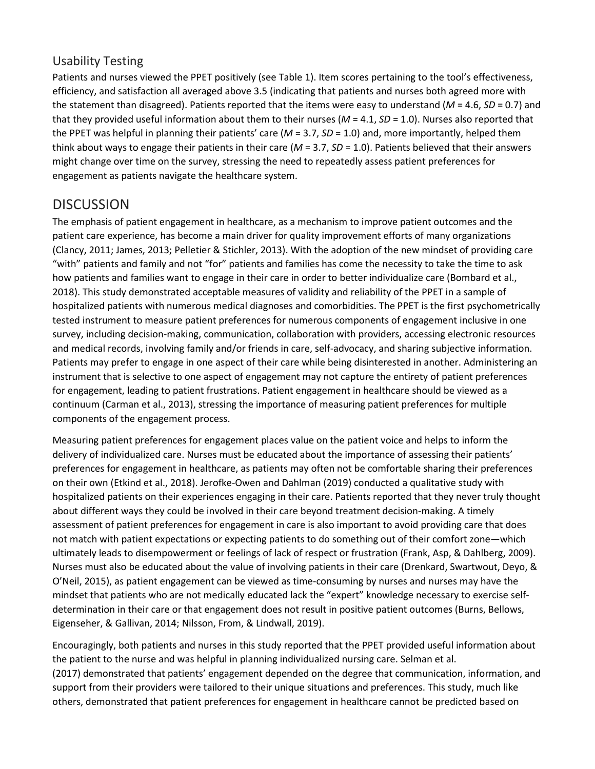## Usability Testing

Patients and nurses viewed the PPET positively (see Table 1). Item scores pertaining to the tool's effectiveness, efficiency, and satisfaction all averaged above 3.5 (indicating that patients and nurses both agreed more with the statement than disagreed). Patients reported that the items were easy to understand (*M* = 4.6, *SD* = 0.7) and that they provided useful information about them to their nurses ( $M = 4.1$ ,  $SD = 1.0$ ). Nurses also reported that the PPET was helpful in planning their patients' care (*M* = 3.7, *SD* = 1.0) and, more importantly, helped them think about ways to engage their patients in their care (*M* = 3.7, *SD* = 1.0). Patients believed that their answers might change over time on the survey, stressing the need to repeatedly assess patient preferences for engagement as patients navigate the healthcare system.

# DISCUSSION

The emphasis of patient engagement in healthcare, as a mechanism to improve patient outcomes and the patient care experience, has become a main driver for quality improvement efforts of many organizations (Clancy, 2011; James, 2013; Pelletier & Stichler, 2013). With the adoption of the new mindset of providing care "with" patients and family and not "for" patients and families has come the necessity to take the time to ask how patients and families want to engage in their care in order to better individualize care (Bombard et al., 2018). This study demonstrated acceptable measures of validity and reliability of the PPET in a sample of hospitalized patients with numerous medical diagnoses and comorbidities. The PPET is the first psychometrically tested instrument to measure patient preferences for numerous components of engagement inclusive in one survey, including decision-making, communication, collaboration with providers, accessing electronic resources and medical records, involving family and/or friends in care, self-advocacy, and sharing subjective information. Patients may prefer to engage in one aspect of their care while being disinterested in another. Administering an instrument that is selective to one aspect of engagement may not capture the entirety of patient preferences for engagement, leading to patient frustrations. Patient engagement in healthcare should be viewed as a continuum (Carman et al., 2013), stressing the importance of measuring patient preferences for multiple components of the engagement process.

Measuring patient preferences for engagement places value on the patient voice and helps to inform the delivery of individualized care. Nurses must be educated about the importance of assessing their patients' preferences for engagement in healthcare, as patients may often not be comfortable sharing their preferences on their own (Etkind et al., 2018). Jerofke-Owen and Dahlman (2019) conducted a qualitative study with hospitalized patients on their experiences engaging in their care. Patients reported that they never truly thought about different ways they could be involved in their care beyond treatment decision-making. A timely assessment of patient preferences for engagement in care is also important to avoid providing care that does not match with patient expectations or expecting patients to do something out of their comfort zone—which ultimately leads to disempowerment or feelings of lack of respect or frustration (Frank, Asp, & Dahlberg, 2009). Nurses must also be educated about the value of involving patients in their care (Drenkard, Swartwout, Deyo, & O'Neil, 2015), as patient engagement can be viewed as time-consuming by nurses and nurses may have the mindset that patients who are not medically educated lack the "expert" knowledge necessary to exercise selfdetermination in their care or that engagement does not result in positive patient outcomes (Burns, Bellows, Eigenseher, & Gallivan, 2014; Nilsson, From, & Lindwall, 2019).

Encouragingly, both patients and nurses in this study reported that the PPET provided useful information about the patient to the nurse and was helpful in planning individualized nursing care. Selman et al. (2017) demonstrated that patients' engagement depended on the degree that communication, information, and support from their providers were tailored to their unique situations and preferences. This study, much like others, demonstrated that patient preferences for engagement in healthcare cannot be predicted based on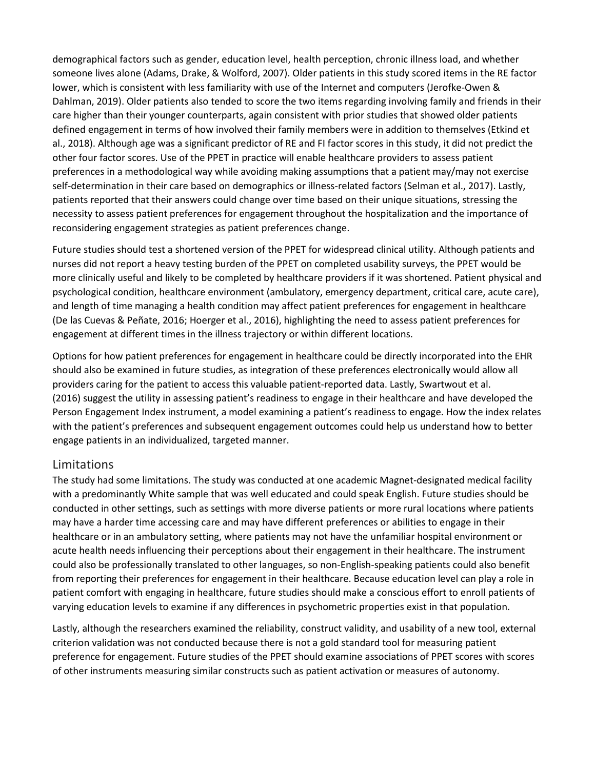demographical factors such as gender, education level, health perception, chronic illness load, and whether someone lives alone (Adams, Drake, & Wolford, 2007). Older patients in this study scored items in the RE factor lower, which is consistent with less familiarity with use of the Internet and computers (Jerofke-Owen & Dahlman, 2019). Older patients also tended to score the two items regarding involving family and friends in their care higher than their younger counterparts, again consistent with prior studies that showed older patients defined engagement in terms of how involved their family members were in addition to themselves (Etkind et al., 2018). Although age was a significant predictor of RE and FI factor scores in this study, it did not predict the other four factor scores. Use of the PPET in practice will enable healthcare providers to assess patient preferences in a methodological way while avoiding making assumptions that a patient may/may not exercise self-determination in their care based on demographics or illness-related factors (Selman et al., 2017). Lastly, patients reported that their answers could change over time based on their unique situations, stressing the necessity to assess patient preferences for engagement throughout the hospitalization and the importance of reconsidering engagement strategies as patient preferences change.

Future studies should test a shortened version of the PPET for widespread clinical utility. Although patients and nurses did not report a heavy testing burden of the PPET on completed usability surveys, the PPET would be more clinically useful and likely to be completed by healthcare providers if it was shortened. Patient physical and psychological condition, healthcare environment (ambulatory, emergency department, critical care, acute care), and length of time managing a health condition may affect patient preferences for engagement in healthcare (De las Cuevas & Peñate, 2016; Hoerger et al., 2016), highlighting the need to assess patient preferences for engagement at different times in the illness trajectory or within different locations.

Options for how patient preferences for engagement in healthcare could be directly incorporated into the EHR should also be examined in future studies, as integration of these preferences electronically would allow all providers caring for the patient to access this valuable patient-reported data. Lastly, Swartwout et al. (2016) suggest the utility in assessing patient's readiness to engage in their healthcare and have developed the Person Engagement Index instrument, a model examining a patient's readiness to engage. How the index relates with the patient's preferences and subsequent engagement outcomes could help us understand how to better engage patients in an individualized, targeted manner.

#### Limitations

The study had some limitations. The study was conducted at one academic Magnet-designated medical facility with a predominantly White sample that was well educated and could speak English. Future studies should be conducted in other settings, such as settings with more diverse patients or more rural locations where patients may have a harder time accessing care and may have different preferences or abilities to engage in their healthcare or in an ambulatory setting, where patients may not have the unfamiliar hospital environment or acute health needs influencing their perceptions about their engagement in their healthcare. The instrument could also be professionally translated to other languages, so non-English-speaking patients could also benefit from reporting their preferences for engagement in their healthcare. Because education level can play a role in patient comfort with engaging in healthcare, future studies should make a conscious effort to enroll patients of varying education levels to examine if any differences in psychometric properties exist in that population.

Lastly, although the researchers examined the reliability, construct validity, and usability of a new tool, external criterion validation was not conducted because there is not a gold standard tool for measuring patient preference for engagement. Future studies of the PPET should examine associations of PPET scores with scores of other instruments measuring similar constructs such as patient activation or measures of autonomy.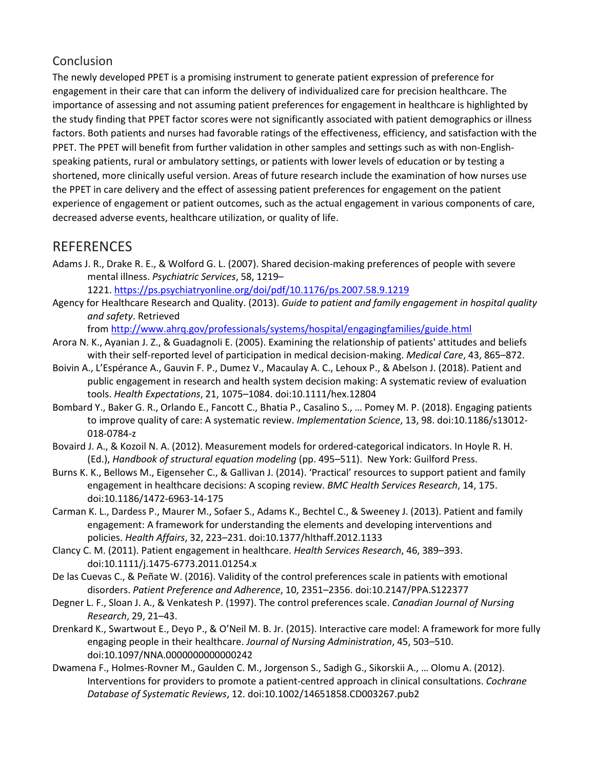## Conclusion

The newly developed PPET is a promising instrument to generate patient expression of preference for engagement in their care that can inform the delivery of individualized care for precision healthcare. The importance of assessing and not assuming patient preferences for engagement in healthcare is highlighted by the study finding that PPET factor scores were not significantly associated with patient demographics or illness factors. Both patients and nurses had favorable ratings of the effectiveness, efficiency, and satisfaction with the PPET. The PPET will benefit from further validation in other samples and settings such as with non-Englishspeaking patients, rural or ambulatory settings, or patients with lower levels of education or by testing a shortened, more clinically useful version. Areas of future research include the examination of how nurses use the PPET in care delivery and the effect of assessing patient preferences for engagement on the patient experience of engagement or patient outcomes, such as the actual engagement in various components of care, decreased adverse events, healthcare utilization, or quality of life.

# **REFERENCES**

Adams J. R., Drake R. E., & Wolford G. L. (2007). Shared decision-making preferences of people with severe mental illness. *Psychiatric Services*, 58, 1219–

1221. <https://ps.psychiatryonline.org/doi/pdf/10.1176/ps.2007.58.9.1219>

Agency for Healthcare Research and Quality. (2013). *Guide to patient and family engagement in hospital quality and safety*. Retrieved

from <http://www.ahrq.gov/professionals/systems/hospital/engagingfamilies/guide.html>

- Arora N. K., Ayanian J. Z., & Guadagnoli E. (2005). Examining the relationship of patients' attitudes and beliefs with their self-reported level of participation in medical decision-making. *Medical Care*, 43, 865–872.
- Boivin A., L'Espérance A., Gauvin F. P., Dumez V., Macaulay A. C., Lehoux P., & Abelson J. (2018). Patient and public engagement in research and health system decision making: A systematic review of evaluation tools. *Health Expectations*, 21, 1075–1084. doi:10.1111/hex.12804
- Bombard Y., Baker G. R., Orlando E., Fancott C., Bhatia P., Casalino S., … Pomey M. P. (2018). Engaging patients to improve quality of care: A systematic review. *Implementation Science*, 13, 98. doi:10.1186/s13012- 018-0784-z
- Bovaird J. A., & Kozoil N. A. (2012). Measurement models for ordered-categorical indicators. In Hoyle R. H. (Ed.), *Handbook of structural equation modeling* (pp. 495–511). New York: Guilford Press.
- Burns K. K., Bellows M., Eigenseher C., & Gallivan J. (2014). 'Practical' resources to support patient and family engagement in healthcare decisions: A scoping review. *BMC Health Services Research*, 14, 175. doi:10.1186/1472-6963-14-175
- Carman K. L., Dardess P., Maurer M., Sofaer S., Adams K., Bechtel C., & Sweeney J. (2013). Patient and family engagement: A framework for understanding the elements and developing interventions and policies. *Health Affairs*, 32, 223–231. doi:10.1377/hlthaff.2012.1133
- Clancy C. M. (2011). Patient engagement in healthcare. *Health Services Research*, 46, 389–393. doi:10.1111/j.1475-6773.2011.01254.x
- De las Cuevas C., & Peñate W. (2016). Validity of the control preferences scale in patients with emotional disorders. *Patient Preference and Adherence*, 10, 2351–2356. doi:10.2147/PPA.S122377
- Degner L. F., Sloan J. A., & Venkatesh P. (1997). The control preferences scale. *Canadian Journal of Nursing Research*, 29, 21–43.
- Drenkard K., Swartwout E., Deyo P., & O'Neil M. B. Jr. (2015). Interactive care model: A framework for more fully engaging people in their healthcare. *Journal of Nursing Administration*, 45, 503–510. doi:10.1097/NNA.0000000000000242
- Dwamena F., Holmes-Rovner M., Gaulden C. M., Jorgenson S., Sadigh G., Sikorskii A., … Olomu A. (2012). Interventions for providers to promote a patient-centred approach in clinical consultations. *Cochrane Database of Systematic Reviews*, 12. doi:10.1002/14651858.CD003267.pub2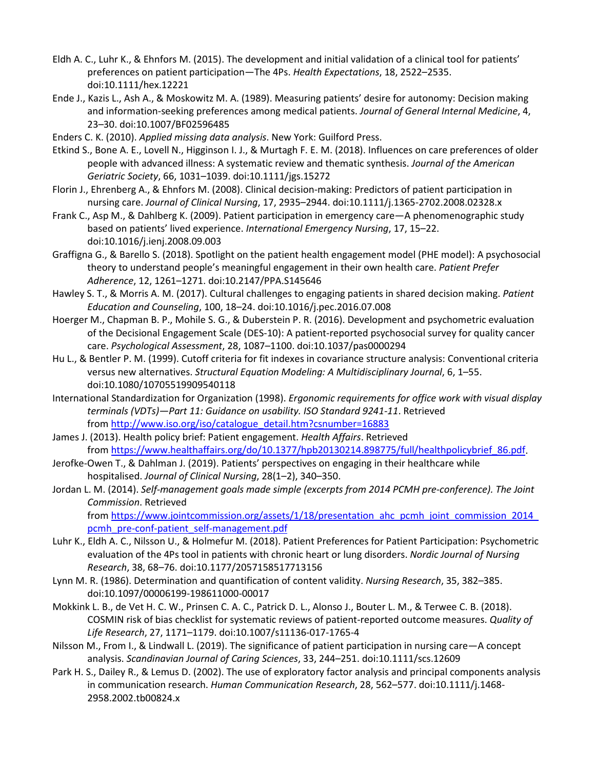- Eldh A. C., Luhr K., & Ehnfors M. (2015). The development and initial validation of a clinical tool for patients' preferences on patient participation—The 4Ps. *Health Expectations*, 18, 2522–2535. doi:10.1111/hex.12221
- Ende J., Kazis L., Ash A., & Moskowitz M. A. (1989). Measuring patients' desire for autonomy: Decision making and information-seeking preferences among medical patients. *Journal of General Internal Medicine*, 4, 23–30. doi:10.1007/BF02596485
- Enders C. K. (2010). *Applied missing data analysis*. New York: Guilford Press.
- Etkind S., Bone A. E., Lovell N., Higginson I. J., & Murtagh F. E. M. (2018). Influences on care preferences of older people with advanced illness: A systematic review and thematic synthesis. *Journal of the American Geriatric Society*, 66, 1031–1039. doi:10.1111/jgs.15272
- Florin J., Ehrenberg A., & Ehnfors M. (2008). Clinical decision-making: Predictors of patient participation in nursing care. *Journal of Clinical Nursing*, 17, 2935–2944. doi:10.1111/j.1365-2702.2008.02328.x
- Frank C., Asp M., & Dahlberg K. (2009). Patient participation in emergency care—A phenomenographic study based on patients' lived experience. *International Emergency Nursing*, 17, 15–22. doi:10.1016/j.ienj.2008.09.003
- Graffigna G., & Barello S. (2018). Spotlight on the patient health engagement model (PHE model): A psychosocial theory to understand people's meaningful engagement in their own health care. *Patient Prefer Adherence*, 12, 1261–1271. doi:10.2147/PPA.S145646
- Hawley S. T., & Morris A. M. (2017). Cultural challenges to engaging patients in shared decision making. *Patient Education and Counseling*, 100, 18–24. doi:10.1016/j.pec.2016.07.008
- Hoerger M., Chapman B. P., Mohile S. G., & Duberstein P. R. (2016). Development and psychometric evaluation of the Decisional Engagement Scale (DES-10): A patient-reported psychosocial survey for quality cancer care. *Psychological Assessment*, 28, 1087–1100. doi:10.1037/pas0000294
- Hu L., & Bentler P. M. (1999). Cutoff criteria for fit indexes in covariance structure analysis: Conventional criteria versus new alternatives. *Structural Equation Modeling: A Multidisciplinary Journal*, 6, 1–55. doi:10.1080/10705519909540118
- International Standardization for Organization (1998). *Ergonomic requirements for office work with visual display terminals (VDTs)—Part 11: Guidance on usability. ISO Standard 9241-11*. Retrieved from [http://www.iso.org/iso/catalogue\\_detail.htm?csnumber=16883](http://www.iso.org/iso/catalogue_detail.htm?csnumber=16883)
- James J. (2013). Health policy brief: Patient engagement. *Health Affairs*. Retrieved from [https://www.healthaffairs.org/do/10.1377/hpb20130214.898775/full/healthpolicybrief\\_86.pdf.](https://www.healthaffairs.org/do/10.1377/hpb20130214.898775/full/healthpolicybrief_86.pdf)
- Jerofke-Owen T., & Dahlman J. (2019). Patients' perspectives on engaging in their healthcare while hospitalised. *Journal of Clinical Nursing*, 28(1–2), 340–350.
- Jordan L. M. (2014). *Self-management goals made simple (excerpts from 2014 PCMH pre-conference). The Joint Commission*. Retrieved from https://www.jointcommission.org/assets/1/18/presentation\_ahc\_pcmh\_joint\_commission\_2014 [pcmh\\_pre-conf-patient\\_self-management.pdf](https://www.jointcommission.org/assets/1/18/presentation_ahc_pcmh_joint_commission_2014_pcmh_pre-conf-patient_self-management.pdf)
- Luhr K., Eldh A. C., Nilsson U., & Holmefur M. (2018). Patient Preferences for Patient Participation: Psychometric evaluation of the 4Ps tool in patients with chronic heart or lung disorders. *Nordic Journal of Nursing Research*, 38, 68–76. doi:10.1177/2057158517713156
- Lynn M. R. (1986). Determination and quantification of content validity. *Nursing Research*, 35, 382–385. doi:10.1097/00006199-198611000-00017
- Mokkink L. B., de Vet H. C. W., Prinsen C. A. C., Patrick D. L., Alonso J., Bouter L. M., & Terwee C. B. (2018). COSMIN risk of bias checklist for systematic reviews of patient-reported outcome measures. *Quality of Life Research*, 27, 1171–1179. doi:10.1007/s11136-017-1765-4
- Nilsson M., From I., & Lindwall L. (2019). The significance of patient participation in nursing care—A concept analysis. *Scandinavian Journal of Caring Sciences*, 33, 244–251. doi:10.1111/scs.12609
- Park H. S., Dailey R., & Lemus D. (2002). The use of exploratory factor analysis and principal components analysis in communication research. *Human Communication Research*, 28, 562–577. doi:10.1111/j.1468- 2958.2002.tb00824.x